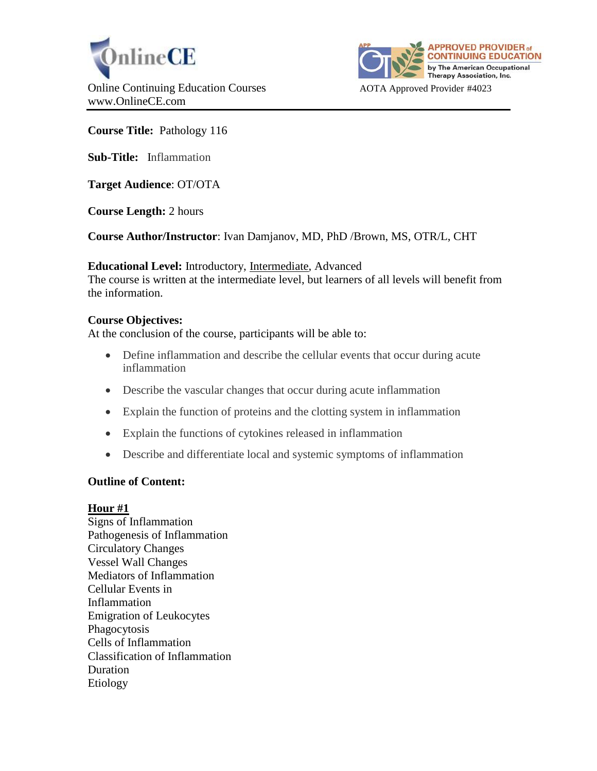



# **Course Title:** Pathology 116

**Sub-Title:** Inflammation

**Target Audience**: OT/OTA

**Course Length:** 2 hours

**Course Author/Instructor**: Ivan Damjanov, MD, PhD /Brown, MS, OTR/L, CHT

**Educational Level:** Introductory, Intermediate, Advanced

The course is written at the intermediate level, but learners of all levels will benefit from the information.

# **Course Objectives:**

At the conclusion of the course, participants will be able to:

- Define inflammation and describe the cellular events that occur during acute inflammation
- Describe the vascular changes that occur during acute inflammation
- Explain the function of proteins and the clotting system in inflammation
- Explain the functions of cytokines released in inflammation
- Describe and differentiate local and systemic symptoms of inflammation

# **Outline of Content:**

# **Hour #1**

Signs of Inflammation Pathogenesis of Inflammation Circulatory Changes Vessel Wall Changes Mediators of Inflammation Cellular Events in Inflammation Emigration of Leukocytes Phagocytosis Cells of Inflammation Classification of Inflammation Duration Etiology